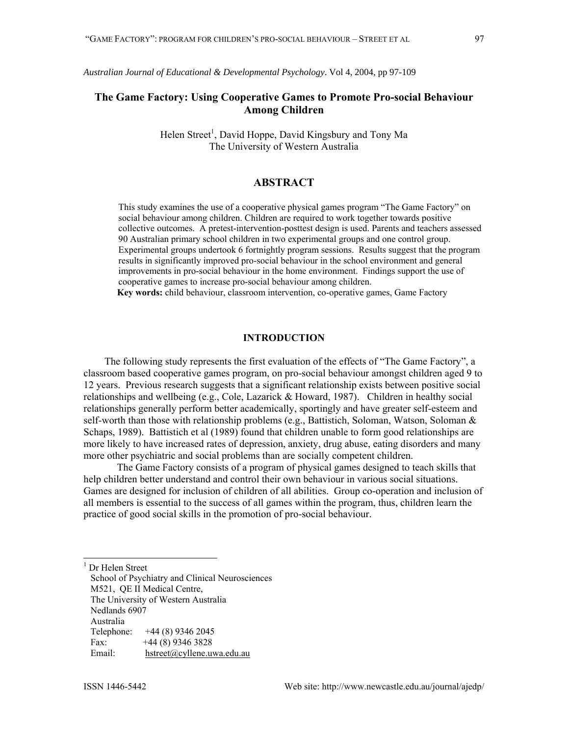# **The Game Factory: Using Cooperative Games to Promote Pro-social Behaviour Among Children**

Helen Street<sup>[1](#page-0-0)</sup>, David Hoppe, David Kingsbury and Tony Ma The University of Western Australia

## **ABSTRACT**

This study examines the use of a cooperative physical games program "The Game Factory" on social behaviour among children. Children are required to work together towards positive collective outcomes. A pretest-intervention-posttest design is used. Parents and teachers assessed 90 Australian primary school children in two experimental groups and one control group. Experimental groups undertook 6 fortnightly program sessions. Results suggest that the program results in significantly improved pro-social behaviour in the school environment and general improvements in pro-social behaviour in the home environment. Findings support the use of cooperative games to increase pro-social behaviour among children.

**Key words:** child behaviour, classroom intervention, co-operative games, Game Factory

## **INTRODUCTION**

The following study represents the first evaluation of the effects of "The Game Factory", a classroom based cooperative games program, on pro-social behaviour amongst children aged 9 to 12 years. Previous research suggests that a significant relationship exists between positive social relationships and wellbeing (e.g., Cole, Lazarick & Howard, 1987). Children in healthy social relationships generally perform better academically, sportingly and have greater self-esteem and self-worth than those with relationship problems (e.g., Battistich, Soloman, Watson, Soloman & Schaps, 1989). Battistich et al (1989) found that children unable to form good relationships are more likely to have increased rates of depression, anxiety, drug abuse, eating disorders and many more other psychiatric and social problems than are socially competent children.

The Game Factory consists of a program of physical games designed to teach skills that help children better understand and control their own behaviour in various social situations. Games are designed for inclusion of children of all abilities. Group co-operation and inclusion of all members is essential to the success of all games within the program, thus, children learn the practice of good social skills in the promotion of pro-social behaviour.

<span id="page-0-0"></span> $\frac{1}{1}$ Dr Helen Street

School of Psychiatry and Clinical Neurosciences M521, QE II Medical Centre, The University of Western Australia Nedlands 6907 Australia Telephone: +44 (8) 9346 2045 Fax:  $+44(8)$  9346 3828 Email: [hstreet@cyllene.uwa.edu.au](mailto:hstreet@cyllene.uwa.edu.au)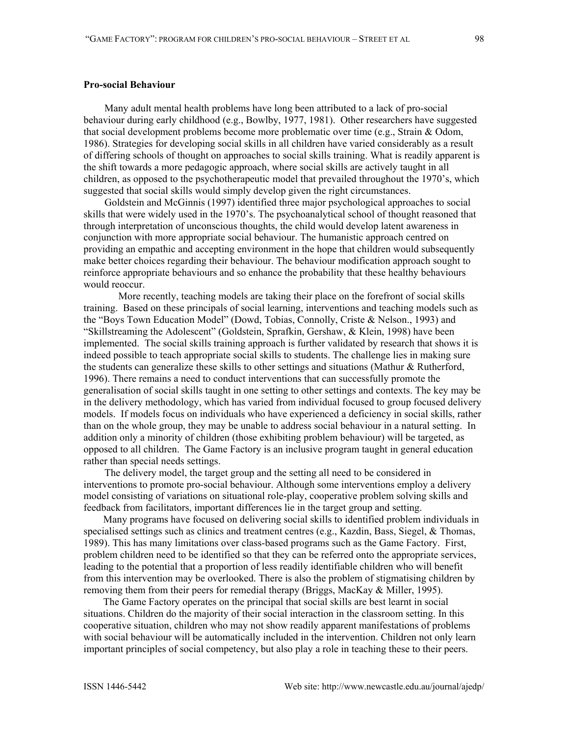### **Pro-social Behaviour**

Many adult mental health problems have long been attributed to a lack of pro-social behaviour during early childhood (e.g., Bowlby, 1977, 1981). Other researchers have suggested that social development problems become more problematic over time (e.g., Strain & Odom, 1986). Strategies for developing social skills in all children have varied considerably as a result of differing schools of thought on approaches to social skills training. What is readily apparent is the shift towards a more pedagogic approach, where social skills are actively taught in all children, as opposed to the psychotherapeutic model that prevailed throughout the 1970's, which suggested that social skills would simply develop given the right circumstances.

Goldstein and McGinnis (1997) identified three major psychological approaches to social skills that were widely used in the 1970's. The psychoanalytical school of thought reasoned that through interpretation of unconscious thoughts, the child would develop latent awareness in conjunction with more appropriate social behaviour. The humanistic approach centred on providing an empathic and accepting environment in the hope that children would subsequently make better choices regarding their behaviour. The behaviour modification approach sought to reinforce appropriate behaviours and so enhance the probability that these healthy behaviours would reoccur.

More recently, teaching models are taking their place on the forefront of social skills training. Based on these principals of social learning, interventions and teaching models such as the "Boys Town Education Model" (Dowd, Tobias, Connolly, Criste & Nelson., 1993) and "Skillstreaming the Adolescent" (Goldstein, Sprafkin, Gershaw, & Klein, 1998) have been implemented. The social skills training approach is further validated by research that shows it is indeed possible to teach appropriate social skills to students. The challenge lies in making sure the students can generalize these skills to other settings and situations (Mathur & Rutherford, 1996). There remains a need to conduct interventions that can successfully promote the generalisation of social skills taught in one setting to other settings and contexts. The key may be in the delivery methodology, which has varied from individual focused to group focused delivery models. If models focus on individuals who have experienced a deficiency in social skills, rather than on the whole group, they may be unable to address social behaviour in a natural setting. In addition only a minority of children (those exhibiting problem behaviour) will be targeted, as opposed to all children. The Game Factory is an inclusive program taught in general education rather than special needs settings.

The delivery model, the target group and the setting all need to be considered in interventions to promote pro-social behaviour. Although some interventions employ a delivery model consisting of variations on situational role-play, cooperative problem solving skills and feedback from facilitators, important differences lie in the target group and setting.

Many programs have focused on delivering social skills to identified problem individuals in specialised settings such as clinics and treatment centres (e.g., Kazdin, Bass, Siegel, & Thomas, 1989). This has many limitations over class-based programs such as the Game Factory. First, problem children need to be identified so that they can be referred onto the appropriate services, leading to the potential that a proportion of less readily identifiable children who will benefit from this intervention may be overlooked. There is also the problem of stigmatising children by removing them from their peers for remedial therapy (Briggs, MacKay & Miller, 1995).

The Game Factory operates on the principal that social skills are best learnt in social situations. Children do the majority of their social interaction in the classroom setting. In this cooperative situation, children who may not show readily apparent manifestations of problems with social behaviour will be automatically included in the intervention. Children not only learn important principles of social competency, but also play a role in teaching these to their peers.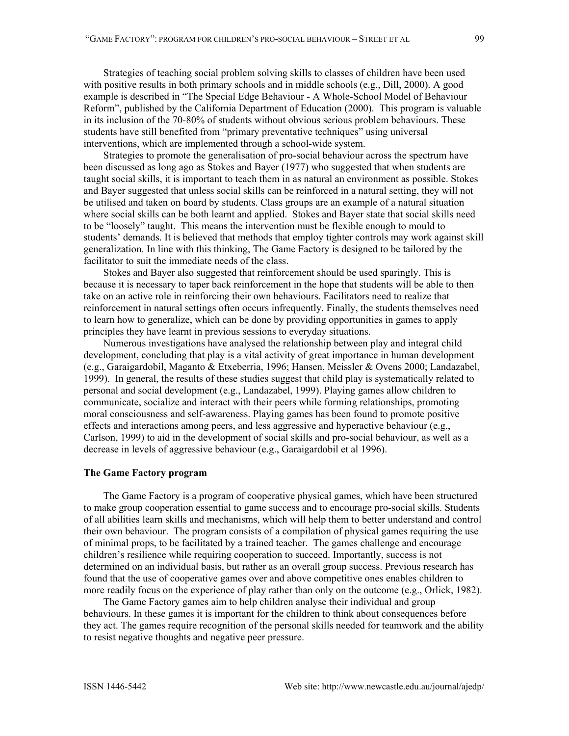Strategies of teaching social problem solving skills to classes of children have been used with positive results in both primary schools and in middle schools (e.g., Dill, 2000). A good example is described in "The Special Edge Behaviour - A Whole-School Model of Behaviour Reform", published by the California Department of Education (2000). This program is valuable in its inclusion of the 70-80% of students without obvious serious problem behaviours. These students have still benefited from "primary preventative techniques" using universal interventions, which are implemented through a school-wide system.

Strategies to promote the generalisation of pro-social behaviour across the spectrum have been discussed as long ago as Stokes and Bayer (1977) who suggested that when students are taught social skills, it is important to teach them in as natural an environment as possible. Stokes and Bayer suggested that unless social skills can be reinforced in a natural setting, they will not be utilised and taken on board by students. Class groups are an example of a natural situation where social skills can be both learnt and applied. Stokes and Bayer state that social skills need to be "loosely" taught. This means the intervention must be flexible enough to mould to students' demands. It is believed that methods that employ tighter controls may work against skill generalization. In line with this thinking, The Game Factory is designed to be tailored by the facilitator to suit the immediate needs of the class.

Stokes and Bayer also suggested that reinforcement should be used sparingly. This is because it is necessary to taper back reinforcement in the hope that students will be able to then take on an active role in reinforcing their own behaviours. Facilitators need to realize that reinforcement in natural settings often occurs infrequently. Finally, the students themselves need to learn how to generalize, which can be done by providing opportunities in games to apply principles they have learnt in previous sessions to everyday situations.

Numerous investigations have analysed the relationship between play and integral child development, concluding that play is a vital activity of great importance in human development (e.g., Garaigardobil, Maganto & Etxeberria, 1996; Hansen, Meissler & Ovens 2000; Landazabel, 1999). In general, the results of these studies suggest that child play is systematically related to personal and social development (e.g., Landazabel, 1999). Playing games allow children to communicate, socialize and interact with their peers while forming relationships, promoting moral consciousness and self-awareness. Playing games has been found to promote positive effects and interactions among peers, and less aggressive and hyperactive behaviour (e.g., Carlson, 1999) to aid in the development of social skills and pro-social behaviour, as well as a decrease in levels of aggressive behaviour (e.g., Garaigardobil et al 1996).

## **The Game Factory program**

The Game Factory is a program of cooperative physical games, which have been structured to make group cooperation essential to game success and to encourage pro-social skills. Students of all abilities learn skills and mechanisms, which will help them to better understand and control their own behaviour. The program consists of a compilation of physical games requiring the use of minimal props, to be facilitated by a trained teacher. The games challenge and encourage children's resilience while requiring cooperation to succeed. Importantly, success is not determined on an individual basis, but rather as an overall group success. Previous research has found that the use of cooperative games over and above competitive ones enables children to more readily focus on the experience of play rather than only on the outcome (e.g., Orlick, 1982).

The Game Factory games aim to help children analyse their individual and group behaviours. In these games it is important for the children to think about consequences before they act. The games require recognition of the personal skills needed for teamwork and the ability to resist negative thoughts and negative peer pressure.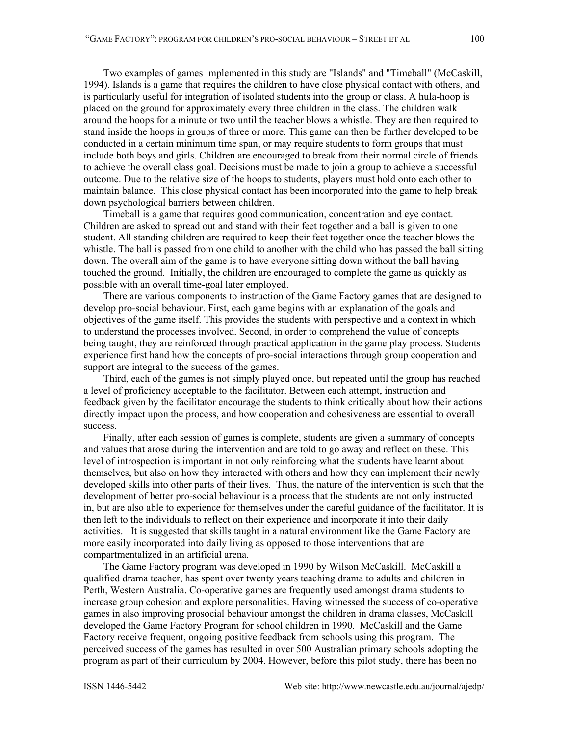Two examples of games implemented in this study are "Islands" and "Timeball" (McCaskill, 1994). Islands is a game that requires the children to have close physical contact with others, and is particularly useful for integration of isolated students into the group or class. A hula-hoop is placed on the ground for approximately every three children in the class. The children walk around the hoops for a minute or two until the teacher blows a whistle. They are then required to stand inside the hoops in groups of three or more. This game can then be further developed to be conducted in a certain minimum time span, or may require students to form groups that must include both boys and girls. Children are encouraged to break from their normal circle of friends to achieve the overall class goal. Decisions must be made to join a group to achieve a successful outcome. Due to the relative size of the hoops to students, players must hold onto each other to maintain balance. This close physical contact has been incorporated into the game to help break down psychological barriers between children.

Timeball is a game that requires good communication, concentration and eye contact. Children are asked to spread out and stand with their feet together and a ball is given to one student. All standing children are required to keep their feet together once the teacher blows the whistle. The ball is passed from one child to another with the child who has passed the ball sitting down. The overall aim of the game is to have everyone sitting down without the ball having touched the ground. Initially, the children are encouraged to complete the game as quickly as possible with an overall time-goal later employed.

There are various components to instruction of the Game Factory games that are designed to develop pro-social behaviour. First, each game begins with an explanation of the goals and objectives of the game itself. This provides the students with perspective and a context in which to understand the processes involved. Second, in order to comprehend the value of concepts being taught, they are reinforced through practical application in the game play process. Students experience first hand how the concepts of pro-social interactions through group cooperation and support are integral to the success of the games.

Third, each of the games is not simply played once, but repeated until the group has reached a level of proficiency acceptable to the facilitator. Between each attempt, instruction and feedback given by the facilitator encourage the students to think critically about how their actions directly impact upon the process, and how cooperation and cohesiveness are essential to overall success.

Finally, after each session of games is complete, students are given a summary of concepts and values that arose during the intervention and are told to go away and reflect on these. This level of introspection is important in not only reinforcing what the students have learnt about themselves, but also on how they interacted with others and how they can implement their newly developed skills into other parts of their lives. Thus, the nature of the intervention is such that the development of better pro-social behaviour is a process that the students are not only instructed in, but are also able to experience for themselves under the careful guidance of the facilitator. It is then left to the individuals to reflect on their experience and incorporate it into their daily activities. It is suggested that skills taught in a natural environment like the Game Factory are more easily incorporated into daily living as opposed to those interventions that are compartmentalized in an artificial arena.

The Game Factory program was developed in 1990 by Wilson McCaskill. McCaskill a qualified drama teacher, has spent over twenty years teaching drama to adults and children in Perth, Western Australia. Co-operative games are frequently used amongst drama students to increase group cohesion and explore personalities. Having witnessed the success of co-operative games in also improving prosocial behaviour amongst the children in drama classes, McCaskill developed the Game Factory Program for school children in 1990. McCaskill and the Game Factory receive frequent, ongoing positive feedback from schools using this program. The perceived success of the games has resulted in over 500 Australian primary schools adopting the program as part of their curriculum by 2004. However, before this pilot study, there has been no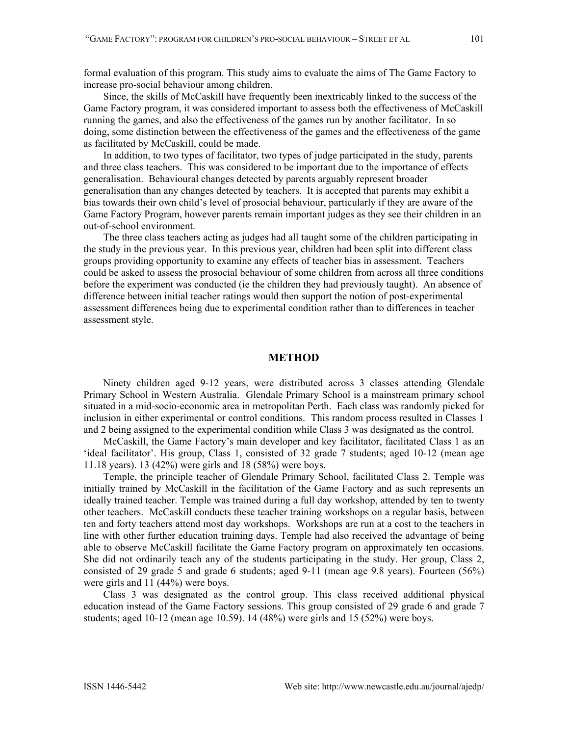formal evaluation of this program. This study aims to evaluate the aims of The Game Factory to increase pro-social behaviour among children.

Since, the skills of McCaskill have frequently been inextricably linked to the success of the Game Factory program, it was considered important to assess both the effectiveness of McCaskill running the games, and also the effectiveness of the games run by another facilitator. In so doing, some distinction between the effectiveness of the games and the effectiveness of the game as facilitated by McCaskill, could be made.

In addition, to two types of facilitator, two types of judge participated in the study, parents and three class teachers. This was considered to be important due to the importance of effects generalisation. Behavioural changes detected by parents arguably represent broader generalisation than any changes detected by teachers. It is accepted that parents may exhibit a bias towards their own child's level of prosocial behaviour, particularly if they are aware of the Game Factory Program, however parents remain important judges as they see their children in an out-of-school environment.

The three class teachers acting as judges had all taught some of the children participating in the study in the previous year. In this previous year, children had been split into different class groups providing opportunity to examine any effects of teacher bias in assessment. Teachers could be asked to assess the prosocial behaviour of some children from across all three conditions before the experiment was conducted (ie the children they had previously taught). An absence of difference between initial teacher ratings would then support the notion of post-experimental assessment differences being due to experimental condition rather than to differences in teacher assessment style.

# **METHOD**

Ninety children aged 9-12 years, were distributed across 3 classes attending Glendale Primary School in Western Australia. Glendale Primary School is a mainstream primary school situated in a mid-socio-economic area in metropolitan Perth. Each class was randomly picked for inclusion in either experimental or control conditions. This random process resulted in Classes 1 and 2 being assigned to the experimental condition while Class 3 was designated as the control.

McCaskill, the Game Factory's main developer and key facilitator, facilitated Class 1 as an 'ideal facilitator'. His group, Class 1, consisted of 32 grade 7 students; aged 10-12 (mean age 11.18 years). 13 (42%) were girls and 18 (58%) were boys.

Temple, the principle teacher of Glendale Primary School, facilitated Class 2. Temple was initially trained by McCaskill in the facilitation of the Game Factory and as such represents an ideally trained teacher. Temple was trained during a full day workshop, attended by ten to twenty other teachers. McCaskill conducts these teacher training workshops on a regular basis, between ten and forty teachers attend most day workshops. Workshops are run at a cost to the teachers in line with other further education training days. Temple had also received the advantage of being able to observe McCaskill facilitate the Game Factory program on approximately ten occasions. She did not ordinarily teach any of the students participating in the study. Her group, Class 2, consisted of 29 grade 5 and grade 6 students; aged 9-11 (mean age 9.8 years). Fourteen (56%) were girls and 11 (44%) were boys.

Class 3 was designated as the control group. This class received additional physical education instead of the Game Factory sessions. This group consisted of 29 grade 6 and grade 7 students; aged 10-12 (mean age 10.59). 14 (48%) were girls and 15 (52%) were boys.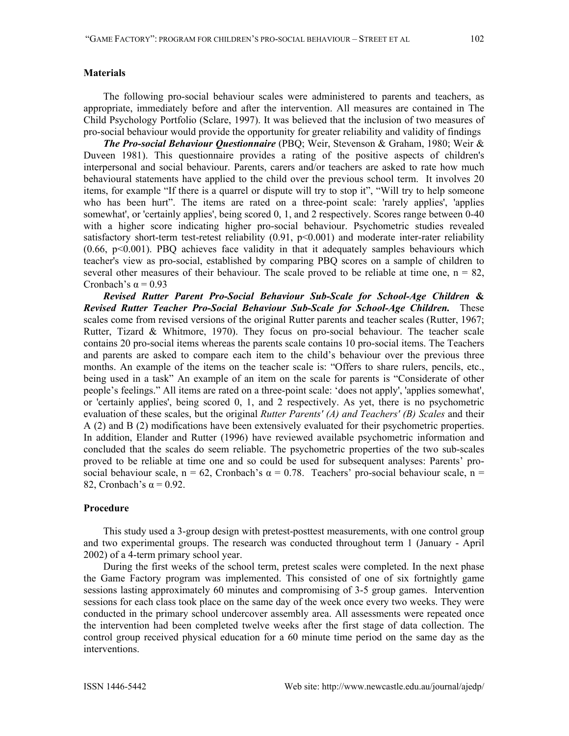### **Materials**

The following pro-social behaviour scales were administered to parents and teachers, as appropriate, immediately before and after the intervention. All measures are contained in The Child Psychology Portfolio (Sclare, 1997). It was believed that the inclusion of two measures of pro-social behaviour would provide the opportunity for greater reliability and validity of findings

*The Pro-social Behaviour Questionnaire* (PBQ; Weir, Stevenson & Graham, 1980; Weir & Duveen 1981). This questionnaire provides a rating of the positive aspects of children's interpersonal and social behaviour. Parents, carers and/or teachers are asked to rate how much behavioural statements have applied to the child over the previous school term. It involves 20 items, for example "If there is a quarrel or dispute will try to stop it", "Will try to help someone who has been hurt". The items are rated on a three-point scale: 'rarely applies', 'applies somewhat', or 'certainly applies', being scored 0, 1, and 2 respectively. Scores range between 0-40 with a higher score indicating higher pro-social behaviour. Psychometric studies revealed satisfactory short-term test-retest reliability (0.91, p<0.001) and moderate inter-rater reliability (0.66, p<0.001). PBQ achieves face validity in that it adequately samples behaviours which teacher's view as pro-social, established by comparing PBQ scores on a sample of children to several other measures of their behaviour. The scale proved to be reliable at time one,  $n = 82$ , Cronbach's  $\alpha$  = 0.93

*Revised Rutter Parent Pro-Social Behaviour Sub-Scale for School-Age Children* **&**  *Revised Rutter Teacher Pro-Social Behaviour Sub-Scale for School-Age Children.* These scales come from revised versions of the original Rutter parents and teacher scales (Rutter, 1967; Rutter, Tizard & Whitmore, 1970). They focus on pro-social behaviour. The teacher scale contains 20 pro-social items whereas the parents scale contains 10 pro-social items. The Teachers and parents are asked to compare each item to the child's behaviour over the previous three months. An example of the items on the teacher scale is: "Offers to share rulers, pencils, etc., being used in a task" An example of an item on the scale for parents is "Considerate of other people's feelings." All items are rated on a three-point scale: 'does not apply', 'applies somewhat', or 'certainly applies', being scored 0, 1, and 2 respectively. As yet, there is no psychometric evaluation of these scales, but the original *Rutter Parents' (A) and Teachers' (B) Scales* and their A (2) and B (2) modifications have been extensively evaluated for their psychometric properties. In addition, Elander and Rutter (1996) have reviewed available psychometric information and concluded that the scales do seem reliable. The psychometric properties of the two sub-scales proved to be reliable at time one and so could be used for subsequent analyses: Parents' prosocial behaviour scale, n = 62, Cronbach's  $\alpha$  = 0.78. Teachers' pro-social behaviour scale, n = 82, Cronbach's  $\alpha$  = 0.92.

### **Procedure**

This study used a 3-group design with pretest-posttest measurements, with one control group and two experimental groups. The research was conducted throughout term 1 (January - April 2002) of a 4-term primary school year.

During the first weeks of the school term, pretest scales were completed. In the next phase the Game Factory program was implemented. This consisted of one of six fortnightly game sessions lasting approximately 60 minutes and compromising of 3-5 group games. Intervention sessions for each class took place on the same day of the week once every two weeks. They were conducted in the primary school undercover assembly area. All assessments were repeated once the intervention had been completed twelve weeks after the first stage of data collection. The control group received physical education for a 60 minute time period on the same day as the interventions.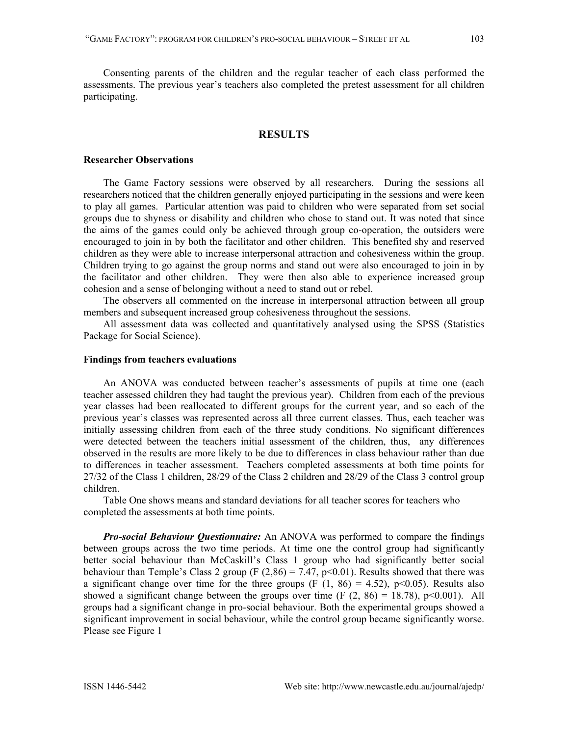Consenting parents of the children and the regular teacher of each class performed the assessments. The previous year's teachers also completed the pretest assessment for all children participating.

# **RESULTS**

#### **Researcher Observations**

The Game Factory sessions were observed by all researchers. During the sessions all researchers noticed that the children generally enjoyed participating in the sessions and were keen to play all games. Particular attention was paid to children who were separated from set social groups due to shyness or disability and children who chose to stand out. It was noted that since the aims of the games could only be achieved through group co-operation, the outsiders were encouraged to join in by both the facilitator and other children. This benefited shy and reserved children as they were able to increase interpersonal attraction and cohesiveness within the group. Children trying to go against the group norms and stand out were also encouraged to join in by the facilitator and other children. They were then also able to experience increased group cohesion and a sense of belonging without a need to stand out or rebel.

The observers all commented on the increase in interpersonal attraction between all group members and subsequent increased group cohesiveness throughout the sessions.

All assessment data was collected and quantitatively analysed using the SPSS (Statistics Package for Social Science).

## **Findings from teachers evaluations**

An ANOVA was conducted between teacher's assessments of pupils at time one (each teacher assessed children they had taught the previous year). Children from each of the previous year classes had been reallocated to different groups for the current year, and so each of the previous year's classes was represented across all three current classes. Thus, each teacher was initially assessing children from each of the three study conditions. No significant differences were detected between the teachers initial assessment of the children, thus, any differences observed in the results are more likely to be due to differences in class behaviour rather than due to differences in teacher assessment. Teachers completed assessments at both time points for 27/32 of the Class 1 children, 28/29 of the Class 2 children and 28/29 of the Class 3 control group children.

Table One shows means and standard deviations for all teacher scores for teachers who completed the assessments at both time points.

*Pro-social Behaviour Questionnaire:* An ANOVA was performed to compare the findings between groups across the two time periods. At time one the control group had significantly better social behaviour than McCaskill's Class 1 group who had significantly better social behaviour than Temple's Class 2 group (F  $(2,86) = 7.47$ , p<0.01). Results showed that there was a significant change over time for the three groups (F  $(1, 86) = 4.52$ ), p<0.05). Results also showed a significant change between the groups over time  $(F (2, 86) = 18.78)$ , p<0.001). All groups had a significant change in pro-social behaviour. Both the experimental groups showed a significant improvement in social behaviour, while the control group became significantly worse. Please see Figure 1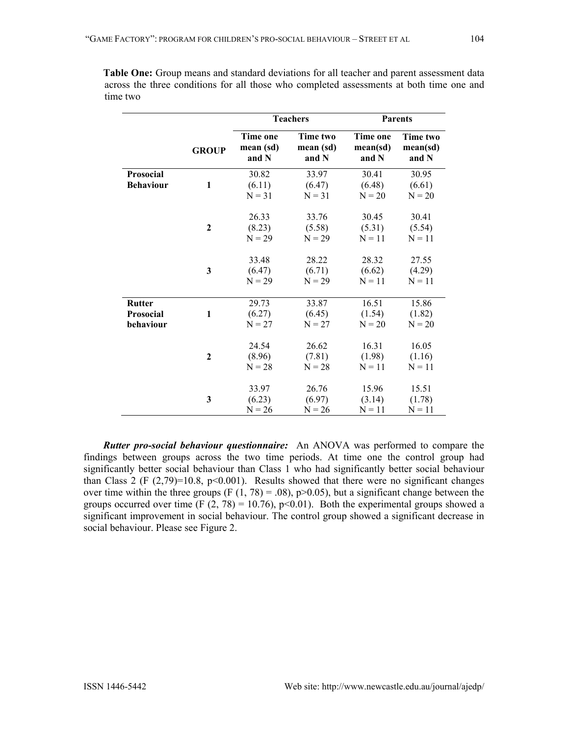|                                                | <b>GROUP</b>     | <b>Teachers</b>                       |                                | <b>Parents</b>                       |                               |
|------------------------------------------------|------------------|---------------------------------------|--------------------------------|--------------------------------------|-------------------------------|
|                                                |                  | <b>Time one</b><br>mean (sd)<br>and N | Time two<br>mean (sd)<br>and N | <b>Time one</b><br>mean(sd)<br>and N | Time two<br>mean(sd)<br>and N |
| Prosocial<br><b>Behaviour</b>                  | 1                | 30.82<br>(6.11)<br>$N = 31$           | 33.97<br>(6.47)<br>$N = 31$    | 30.41<br>(6.48)<br>$N = 20$          | 30.95<br>(6.61)<br>$N = 20$   |
|                                                | $\boldsymbol{2}$ | 26.33<br>(8.23)<br>$N = 29$           | 33.76<br>(5.58)<br>$N = 29$    | 30.45<br>(5.31)<br>$N = 11$          | 30.41<br>(5.54)<br>$N = 11$   |
|                                                | $\mathbf{3}$     | 33.48<br>(6.47)<br>$N = 29$           | 28.22<br>(6.71)<br>$N = 29$    | 28.32<br>(6.62)<br>$N = 11$          | 27.55<br>(4.29)<br>$N = 11$   |
| <b>Rutter</b><br><b>Prosocial</b><br>behaviour | 1                | 29.73<br>(6.27)<br>$N = 27$           | 33.87<br>(6.45)<br>$N = 27$    | 16.51<br>(1.54)<br>$N = 20$          | 15.86<br>(1.82)<br>$N = 20$   |
|                                                | $\mathbf{2}$     | 24.54<br>(8.96)<br>$N = 28$           | 26.62<br>(7.81)<br>$N = 28$    | 16.31<br>(1.98)<br>$N = 11$          | 16.05<br>(1.16)<br>$N = 11$   |
|                                                | 3                | 33.97<br>(6.23)<br>$N = 26$           | 26.76<br>(6.97)<br>$N = 26$    | 15.96<br>(3.14)<br>$N = 11$          | 15.51<br>(1.78)<br>$N = 11$   |

**Table One:** Group means and standard deviations for all teacher and parent assessment data across the three conditions for all those who completed assessments at both time one and time two

*Rutter pro-social behaviour questionnaire:* An ANOVA was performed to compare the findings between groups across the two time periods. At time one the control group had significantly better social behaviour than Class 1 who had significantly better social behaviour than Class 2 (F  $(2,79)=10.8$ ,  $p<0.001$ ). Results showed that there were no significant changes over time within the three groups (F  $(1, 78) = .08$ ), p $> 0.05$ ), but a significant change between the groups occurred over time (F  $(2, 78) = 10.76$ ), p<0.01). Both the experimental groups showed a significant improvement in social behaviour. The control group showed a significant decrease in social behaviour. Please see Figure 2.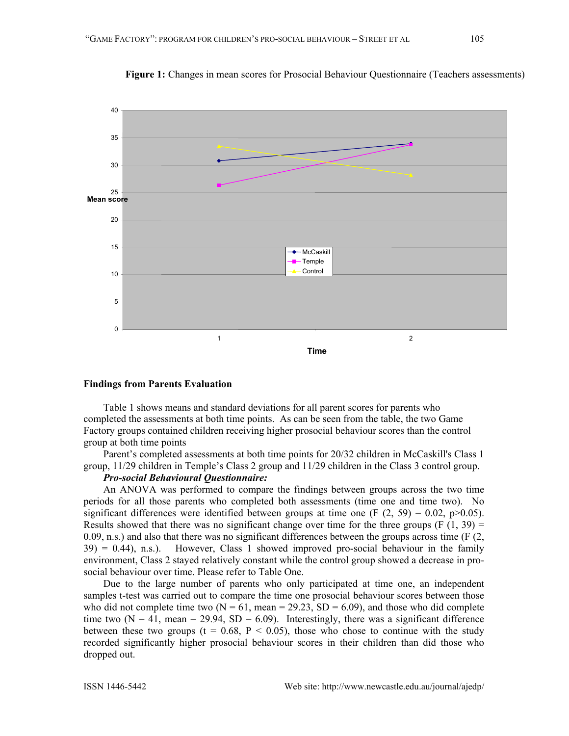

**Figure 1:** Changes in mean scores for Prosocial Behaviour Questionnaire (Teachers assessments)

#### **Findings from Parents Evaluation**

Table 1 shows means and standard deviations for all parent scores for parents who completed the assessments at both time points. As can be seen from the table, the two Game Factory groups contained children receiving higher prosocial behaviour scores than the control group at both time points

Parent's completed assessments at both time points for 20/32 children in McCaskill's Class 1 group, 11/29 children in Temple's Class 2 group and 11/29 children in the Class 3 control group.

### *Pro-social Behavioural Questionnaire:*

An ANOVA was performed to compare the findings between groups across the two time periods for all those parents who completed both assessments (time one and time two).No significant differences were identified between groups at time one (F  $(2, 59) = 0.02$ , p $>0.05$ ). Results showed that there was no significant change over time for the three groups (F  $(1, 39)$ ) =  $(0.09, n.s.)$  and also that there was no significant differences between the groups across time (F  $(2, 1)$ )  $39$ ) = 0.44), n.s.). However, Class 1 showed improved pro-social behaviour in the family environment, Class 2 stayed relatively constant while the control group showed a decrease in prosocial behaviour over time. Please refer to Table One.

Due to the large number of parents who only participated at time one, an independent samples t-test was carried out to compare the time one prosocial behaviour scores between those who did not complete time two ( $N = 61$ , mean = 29.23, SD = 6.09), and those who did complete time two  $(N = 41$ , mean = 29.94, SD = 6.09). Interestingly, there was a significant difference between these two groups ( $t = 0.68$ ,  $P < 0.05$ ), those who chose to continue with the study recorded significantly higher prosocial behaviour scores in their children than did those who dropped out.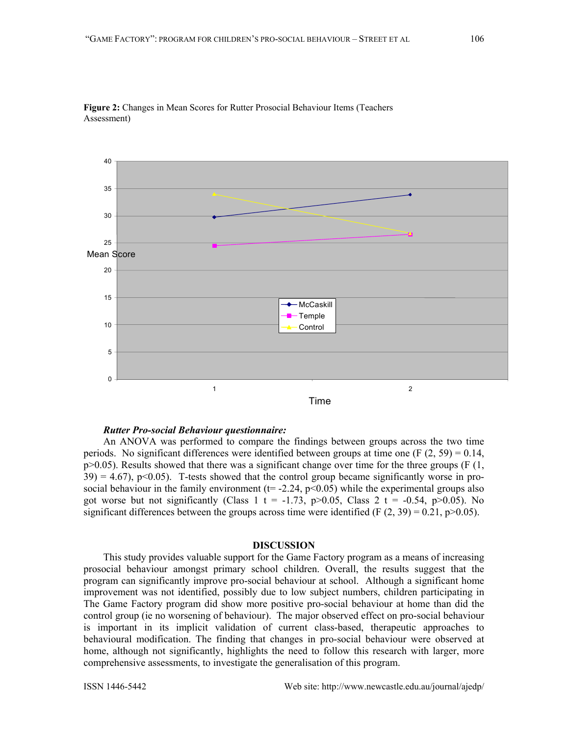

### *Rutter Pro-social Behaviour questionnaire:*

An ANOVA was performed to compare the findings between groups across the two time periods.No significant differences were identified between groups at time one (F (2, 59) = 0.14,  $p>0.05$ ). Results showed that there was a significant change over time for the three groups (F (1,  $39$ ) = 4.67), p<0.05). T-tests showed that the control group became significantly worse in prosocial behaviour in the family environment ( $t = -2.24$ ,  $p < 0.05$ ) while the experimental groups also got worse but not significantly (Class 1 t = -1.73, p>0.05, Class 2 t = -0.54, p>0.05). No significant differences between the groups across time were identified (F  $(2, 39) = 0.21$ , p $> 0.05$ ).

### **DISCUSSION**

This study provides valuable support for the Game Factory program as a means of increasing prosocial behaviour amongst primary school children. Overall, the results suggest that the program can significantly improve pro-social behaviour at school. Although a significant home improvement was not identified, possibly due to low subject numbers, children participating in The Game Factory program did show more positive pro-social behaviour at home than did the control group (ie no worsening of behaviour). The major observed effect on pro-social behaviour is important in its implicit validation of current class-based, therapeutic approaches to behavioural modification. The finding that changes in pro-social behaviour were observed at home, although not significantly, highlights the need to follow this research with larger, more comprehensive assessments, to investigate the generalisation of this program.

Assessment)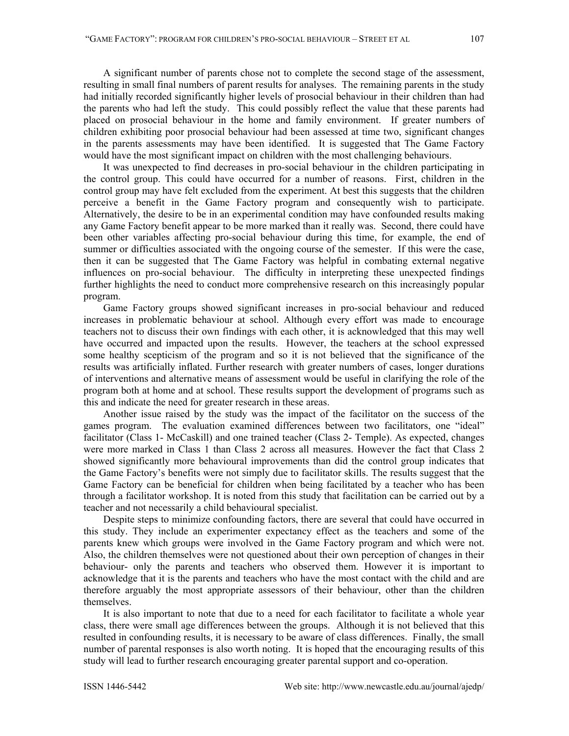A significant number of parents chose not to complete the second stage of the assessment, resulting in small final numbers of parent results for analyses. The remaining parents in the study had initially recorded significantly higher levels of prosocial behaviour in their children than had the parents who had left the study. This could possibly reflect the value that these parents had placed on prosocial behaviour in the home and family environment. If greater numbers of children exhibiting poor prosocial behaviour had been assessed at time two, significant changes in the parents assessments may have been identified. It is suggested that The Game Factory would have the most significant impact on children with the most challenging behaviours.

It was unexpected to find decreases in pro-social behaviour in the children participating in the control group. This could have occurred for a number of reasons. First, children in the control group may have felt excluded from the experiment. At best this suggests that the children perceive a benefit in the Game Factory program and consequently wish to participate. Alternatively, the desire to be in an experimental condition may have confounded results making any Game Factory benefit appear to be more marked than it really was. Second, there could have been other variables affecting pro-social behaviour during this time, for example, the end of summer or difficulties associated with the ongoing course of the semester. If this were the case, then it can be suggested that The Game Factory was helpful in combating external negative influences on pro-social behaviour. The difficulty in interpreting these unexpected findings further highlights the need to conduct more comprehensive research on this increasingly popular program.

Game Factory groups showed significant increases in pro-social behaviour and reduced increases in problematic behaviour at school. Although every effort was made to encourage teachers not to discuss their own findings with each other, it is acknowledged that this may well have occurred and impacted upon the results. However, the teachers at the school expressed some healthy scepticism of the program and so it is not believed that the significance of the results was artificially inflated. Further research with greater numbers of cases, longer durations of interventions and alternative means of assessment would be useful in clarifying the role of the program both at home and at school. These results support the development of programs such as this and indicate the need for greater research in these areas.

Another issue raised by the study was the impact of the facilitator on the success of the games program. The evaluation examined differences between two facilitators, one "ideal" facilitator (Class 1- McCaskill) and one trained teacher (Class 2- Temple). As expected, changes were more marked in Class 1 than Class 2 across all measures. However the fact that Class 2 showed significantly more behavioural improvements than did the control group indicates that the Game Factory's benefits were not simply due to facilitator skills. The results suggest that the Game Factory can be beneficial for children when being facilitated by a teacher who has been through a facilitator workshop. It is noted from this study that facilitation can be carried out by a teacher and not necessarily a child behavioural specialist.

Despite steps to minimize confounding factors, there are several that could have occurred in this study. They include an experimenter expectancy effect as the teachers and some of the parents knew which groups were involved in the Game Factory program and which were not. Also, the children themselves were not questioned about their own perception of changes in their behaviour- only the parents and teachers who observed them. However it is important to acknowledge that it is the parents and teachers who have the most contact with the child and are therefore arguably the most appropriate assessors of their behaviour, other than the children themselves.

It is also important to note that due to a need for each facilitator to facilitate a whole year class, there were small age differences between the groups. Although it is not believed that this resulted in confounding results, it is necessary to be aware of class differences. Finally, the small number of parental responses is also worth noting. It is hoped that the encouraging results of this study will lead to further research encouraging greater parental support and co-operation.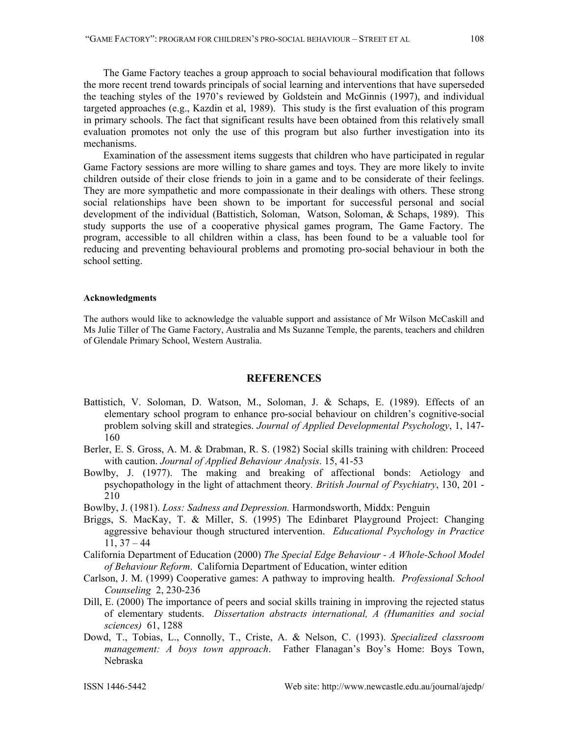The Game Factory teaches a group approach to social behavioural modification that follows the more recent trend towards principals of social learning and interventions that have superseded the teaching styles of the 1970's reviewed by Goldstein and McGinnis (1997), and individual targeted approaches (e.g., Kazdin et al, 1989). This study is the first evaluation of this program in primary schools. The fact that significant results have been obtained from this relatively small evaluation promotes not only the use of this program but also further investigation into its mechanisms.

Examination of the assessment items suggests that children who have participated in regular Game Factory sessions are more willing to share games and toys. They are more likely to invite children outside of their close friends to join in a game and to be considerate of their feelings. They are more sympathetic and more compassionate in their dealings with others. These strong social relationships have been shown to be important for successful personal and social development of the individual (Battistich, Soloman, Watson, Soloman, & Schaps, 1989). This study supports the use of a cooperative physical games program, The Game Factory. The program, accessible to all children within a class, has been found to be a valuable tool for reducing and preventing behavioural problems and promoting pro-social behaviour in both the school setting.

## **Acknowledgments**

The authors would like to acknowledge the valuable support and assistance of Mr Wilson McCaskill and Ms Julie Tiller of The Game Factory, Australia and Ms Suzanne Temple, the parents, teachers and children of Glendale Primary School, Western Australia.

## **REFERENCES**

- Battistich, V. Soloman, D. Watson, M., Soloman, J. & Schaps, E. (1989). Effects of an elementary school program to enhance pro-social behaviour on children's cognitive-social problem solving skill and strategies. *Journal of Applied Developmental Psychology*, 1, 147- 160
- Berler, E. S. Gross, A. M. & Drabman, R. S. (1982) Social skills training with children: Proceed with caution. *Journal of Applied Behaviour Analysis*. 15, 41-53
- Bowlby, J. (1977). The making and breaking of affectional bonds: Aetiology and psychopathology in the light of attachment theory*. British Journal of Psychiatry*, 130, 201 - 210
- Bowlby, J. (1981). *Loss: Sadness and Depression.* Harmondsworth, Middx: Penguin
- Briggs, S. MacKay, T. & Miller, S. (1995) The Edinbaret Playground Project: Changing aggressive behaviour though structured intervention. *Educational Psychology in Practice*  $11, 37 - 44$
- California Department of Education (2000) *The Special Edge Behaviour A Whole-School Model of Behaviour Reform*. California Department of Education, winter edition
- Carlson, J. M. (1999) Cooperative games: A pathway to improving health. *Professional School Counseling* 2, 230-236
- Dill, E. (2000) The importance of peers and social skills training in improving the rejected status of elementary students. *Dissertation abstracts international, A (Humanities and social sciences)* 61, 1288
- Dowd, T., Tobias, L., Connolly, T., Criste, A. & Nelson, C. (1993). *Specialized classroom management: A boys town approach*. Father Flanagan's Boy's Home: Boys Town, Nebraska